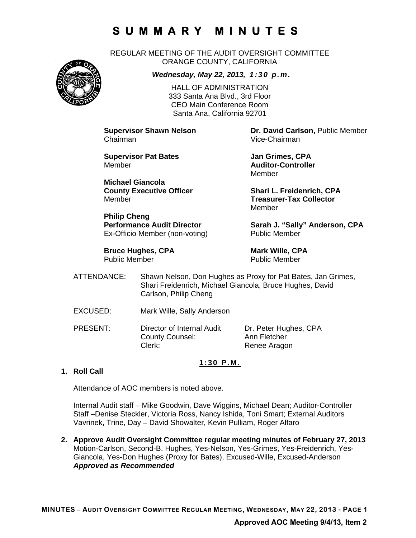REGULAR MEETING OF THE AUDIT OVERSIGHT COMMITTEE ORANGE COUNTY, CALIFORNIA



*Wednesday, May 22, 2013, 1:30 p.m.*

HALL OF ADMINISTRATION 333 Santa Ana Blvd., 3rd Floor CEO Main Conference Room Santa Ana, California 92701

Chairman Vice-Chairman

**Supervisor Pat Bates Access 12 Jan Grimes, CPA** Member **Auditor-Controller** 

**Michael Giancola** Member **Treasurer-Tax Collector** 

**Philip Cheng**  Ex-Officio Member (non-voting) Public Member

**Bruce Hughes, CPA** Mark Wille, CPA Public Member Public Member

**Supervisor Shawn Nelson Dr. David Carlson,** Public Member

Member

**County Executive Officer Shari L. Freidenrich, CPA** Member

Performance Audit Director **Sarah J. "Sally" Anderson, CPA** 

- ATTENDANCE: Shawn Nelson, Don Hughes as Proxy for Pat Bates, Jan Grimes, Shari Freidenrich, Michael Giancola, Bruce Hughes, David Carlson, Philip Cheng
- EXCUSED: Mark Wille, Sally Anderson
- PRESENT: Director of Internal Audit Dr. Peter Hughes, CPA County Counsel: Ann Fletcher Clerk: Renee Aragon

### **1:30 P.M.**

### **1. Roll Call**

Attendance of AOC members is noted above.

Internal Audit staff – Mike Goodwin, Dave Wiggins, Michael Dean; Auditor-Controller Staff –Denise Steckler, Victoria Ross, Nancy Ishida, Toni Smart; External Auditors Vavrinek, Trine, Day – David Showalter, Kevin Pulliam, Roger Alfaro

**2. Approve Audit Oversight Committee regular meeting minutes of February 27, 2013**  Motion-Carlson, Second-B. Hughes, Yes-Nelson, Yes-Grimes, Yes-Freidenrich, Yes-Giancola, Yes-Don Hughes (Proxy for Bates), Excused-Wille, Excused-Anderson *Approved as Recommended*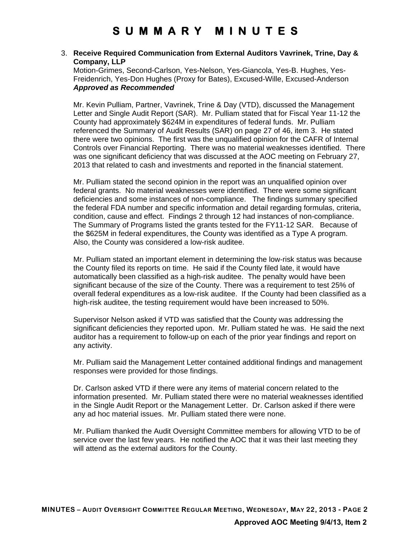#### 3. **Receive Required Communication from External Auditors Vavrinek, Trine, Day & Company, LLP**

Motion-Grimes, Second-Carlson, Yes-Nelson, Yes-Giancola, Yes-B. Hughes, Yes-Freidenrich, Yes-Don Hughes (Proxy for Bates), Excused-Wille, Excused-Anderson *Approved as Recommended* 

Mr. Kevin Pulliam, Partner, Vavrinek, Trine & Day (VTD), discussed the Management Letter and Single Audit Report (SAR). Mr. Pulliam stated that for Fiscal Year 11-12 the County had approximately \$624M in expenditures of federal funds. Mr. Pulliam referenced the Summary of Audit Results (SAR) on page 27 of 46, item 3. He stated there were two opinions. The first was the unqualified opinion for the CAFR of Internal Controls over Financial Reporting. There was no material weaknesses identified. There was one significant deficiency that was discussed at the AOC meeting on February 27, 2013 that related to cash and investments and reported in the financial statement.

Mr. Pulliam stated the second opinion in the report was an unqualified opinion over federal grants. No material weaknesses were identified. There were some significant deficiencies and some instances of non-compliance. The findings summary specified the federal FDA number and specific information and detail regarding formulas, criteria, condition, cause and effect. Findings 2 through 12 had instances of non-compliance. The Summary of Programs listed the grants tested for the FY11-12 SAR. Because of the \$625M in federal expenditures, the County was identified as a Type A program. Also, the County was considered a low-risk auditee.

Mr. Pulliam stated an important element in determining the low-risk status was because the County filed its reports on time. He said if the County filed late, it would have automatically been classified as a high-risk auditee. The penalty would have been significant because of the size of the County. There was a requirement to test 25% of overall federal expenditures as a low-risk auditee. If the County had been classified as a high-risk auditee, the testing requirement would have been increased to 50%.

Supervisor Nelson asked if VTD was satisfied that the County was addressing the significant deficiencies they reported upon. Mr. Pulliam stated he was. He said the next auditor has a requirement to follow-up on each of the prior year findings and report on any activity.

Mr. Pulliam said the Management Letter contained additional findings and management responses were provided for those findings.

Dr. Carlson asked VTD if there were any items of material concern related to the information presented. Mr. Pulliam stated there were no material weaknesses identified in the Single Audit Report or the Management Letter. Dr. Carlson asked if there were any ad hoc material issues. Mr. Pulliam stated there were none.

Mr. Pulliam thanked the Audit Oversight Committee members for allowing VTD to be of service over the last few years. He notified the AOC that it was their last meeting they will attend as the external auditors for the County.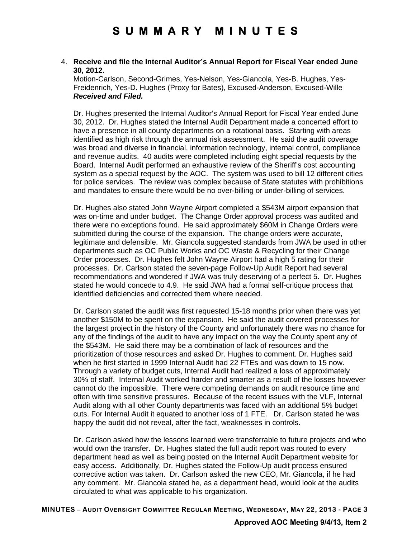#### 4. **Receive and file the Internal Auditor's Annual Report for Fiscal Year ended June 30, 2012.**

Motion-Carlson, Second-Grimes, Yes-Nelson, Yes-Giancola, Yes-B. Hughes, Yes-Freidenrich, Yes-D. Hughes (Proxy for Bates), Excused-Anderson, Excused-Wille *Received and Filed.* 

Dr. Hughes presented the Internal Auditor's Annual Report for Fiscal Year ended June 30, 2012. Dr. Hughes stated the Internal Audit Department made a concerted effort to have a presence in all county departments on a rotational basis. Starting with areas identified as high risk through the annual risk assessment. He said the audit coverage was broad and diverse in financial, information technology, internal control, compliance and revenue audits. 40 audits were completed including eight special requests by the Board. Internal Audit performed an exhaustive review of the Sheriff's cost accounting system as a special request by the AOC. The system was used to bill 12 different cities for police services. The review was complex because of State statutes with prohibitions and mandates to ensure there would be no over-billing or under-billing of services.

Dr. Hughes also stated John Wayne Airport completed a \$543M airport expansion that was on-time and under budget. The Change Order approval process was audited and there were no exceptions found. He said approximately \$60M in Change Orders were submitted during the course of the expansion. The change orders were accurate, legitimate and defensible. Mr. Giancola suggested standards from JWA be used in other departments such as OC Public Works and OC Waste & Recycling for their Change Order processes. Dr. Hughes felt John Wayne Airport had a high 5 rating for their processes. Dr. Carlson stated the seven-page Follow-Up Audit Report had several recommendations and wondered if JWA was truly deserving of a perfect 5. Dr. Hughes stated he would concede to 4.9. He said JWA had a formal self-critique process that identified deficiencies and corrected them where needed.

Dr. Carlson stated the audit was first requested 15-18 months prior when there was yet another \$150M to be spent on the expansion. He said the audit covered processes for the largest project in the history of the County and unfortunately there was no chance for any of the findings of the audit to have any impact on the way the County spent any of the \$543M. He said there may be a combination of lack of resources and the prioritization of those resources and asked Dr. Hughes to comment. Dr. Hughes said when he first started in 1999 Internal Audit had 22 FTEs and was down to 15 now. Through a variety of budget cuts, Internal Audit had realized a loss of approximately 30% of staff. Internal Audit worked harder and smarter as a result of the losses however cannot do the impossible. There were competing demands on audit resource time and often with time sensitive pressures. Because of the recent issues with the VLF, Internal Audit along with all other County departments was faced with an additional 5% budget cuts. For Internal Audit it equated to another loss of 1 FTE. Dr. Carlson stated he was happy the audit did not reveal, after the fact, weaknesses in controls.

Dr. Carlson asked how the lessons learned were transferrable to future projects and who would own the transfer. Dr. Hughes stated the full audit report was routed to every department head as well as being posted on the Internal Audit Department website for easy access. Additionally, Dr. Hughes stated the Follow-Up audit process ensured corrective action was taken. Dr. Carlson asked the new CEO, Mr. Giancola, if he had any comment. Mr. Giancola stated he, as a department head, would look at the audits circulated to what was applicable to his organization.

**MINUTES – AUDIT OVERSIGHT COMMITTEE REGULAR MEETING, WEDNESDAY, MAY 22, 2013 - PAGE 3**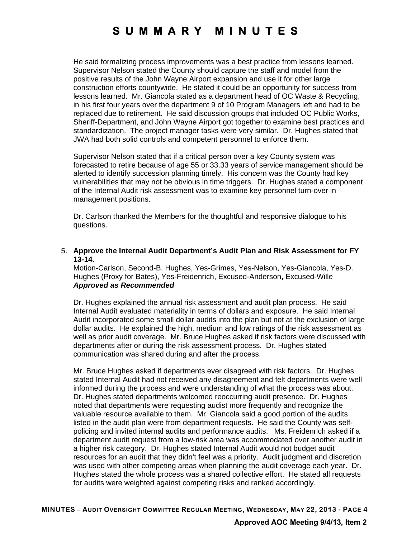He said formalizing process improvements was a best practice from lessons learned. Supervisor Nelson stated the County should capture the staff and model from the positive results of the John Wayne Airport expansion and use it for other large construction efforts countywide. He stated it could be an opportunity for success from lessons learned. Mr. Giancola stated as a department head of OC Waste & Recycling, in his first four years over the department 9 of 10 Program Managers left and had to be replaced due to retirement. He said discussion groups that included OC Public Works, Sheriff-Department, and John Wayne Airport got together to examine best practices and standardization. The project manager tasks were very similar. Dr. Hughes stated that JWA had both solid controls and competent personnel to enforce them.

Supervisor Nelson stated that if a critical person over a key County system was forecasted to retire because of age 55 or 33.33 years of service management should be alerted to identify succession planning timely. His concern was the County had key vulnerabilities that may not be obvious in time triggers. Dr. Hughes stated a component of the Internal Audit risk assessment was to examine key personnel turn-over in management positions.

Dr. Carlson thanked the Members for the thoughtful and responsive dialogue to his questions.

5. **Approve the Internal Audit Department's Audit Plan and Risk Assessment for FY 13-14.** 

Motion-Carlson, Second-B. Hughes, Yes-Grimes, Yes-Nelson, Yes-Giancola, Yes-D. Hughes (Proxy for Bates), Yes-Freidenrich, Excused-Anderson**,** Excused-Wille *Approved as Recommended*

Dr. Hughes explained the annual risk assessment and audit plan process. He said Internal Audit evaluated materiality in terms of dollars and exposure. He said Internal Audit incorporated some small dollar audits into the plan but not at the exclusion of large dollar audits. He explained the high, medium and low ratings of the risk assessment as well as prior audit coverage. Mr. Bruce Hughes asked if risk factors were discussed with departments after or during the risk assessment process. Dr. Hughes stated communication was shared during and after the process.

Mr. Bruce Hughes asked if departments ever disagreed with risk factors. Dr. Hughes stated Internal Audit had not received any disagreement and felt departments were well informed during the process and were understanding of what the process was about. Dr. Hughes stated departments welcomed reoccurring audit presence. Dr. Hughes noted that departments were requesting audist more frequently and recognize the valuable resource available to them. Mr. Giancola said a good portion of the audits listed in the audit plan were from department requests. He said the County was selfpolicing and invited internal audits and performance audits. Ms. Freidenrich asked if a department audit request from a low-risk area was accommodated over another audit in a higher risk category. Dr. Hughes stated Internal Audit would not budget audit resources for an audit that they didn't feel was a priority. Audit judgment and discretion was used with other competing areas when planning the audit coverage each year. Dr. Hughes stated the whole process was a shared collective effort. He stated all requests for audits were weighted against competing risks and ranked accordingly.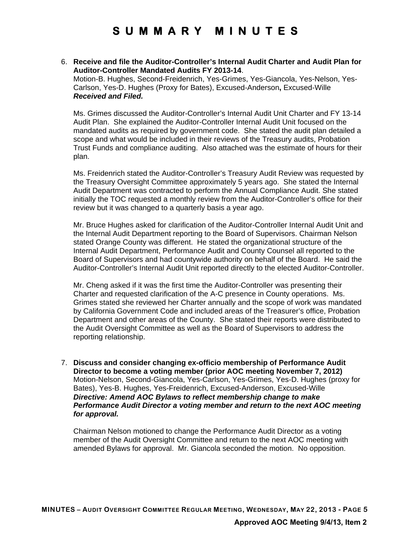#### 6. **Receive and file the Auditor-Controller's Internal Audit Charter and Audit Plan for Auditor-Controller Mandated Audits FY 2013-14**.

Motion-B. Hughes, Second-Freidenrich, Yes-Grimes, Yes-Giancola, Yes-Nelson, Yes-Carlson, Yes-D. Hughes (Proxy for Bates), Excused-Anderson**,** Excused-Wille *Received and Filed.* 

Ms. Grimes discussed the Auditor-Controller's Internal Audit Unit Charter and FY 13-14 Audit Plan. She explained the Auditor-Controller Internal Audit Unit focused on the mandated audits as required by government code. She stated the audit plan detailed a scope and what would be included in their reviews of the Treasury audits, Probation Trust Funds and compliance auditing. Also attached was the estimate of hours for their plan.

Ms. Freidenrich stated the Auditor-Controller's Treasury Audit Review was requested by the Treasury Oversight Committee approximately 5 years ago. She stated the Internal Audit Department was contracted to perform the Annual Compliance Audit. She stated initially the TOC requested a monthly review from the Auditor-Controller's office for their review but it was changed to a quarterly basis a year ago.

Mr. Bruce Hughes asked for clarification of the Auditor-Controller Internal Audit Unit and the Internal Audit Department reporting to the Board of Supervisors. Chairman Nelson stated Orange County was different. He stated the organizational structure of the Internal Audit Department, Performance Audit and County Counsel all reported to the Board of Supervisors and had countywide authority on behalf of the Board. He said the Auditor-Controller's Internal Audit Unit reported directly to the elected Auditor-Controller.

Mr. Cheng asked if it was the first time the Auditor-Controller was presenting their Charter and requested clarification of the A-C presence in County operations. Ms. Grimes stated she reviewed her Charter annually and the scope of work was mandated by California Government Code and included areas of the Treasurer's office, Probation Department and other areas of the County. She stated their reports were distributed to the Audit Oversight Committee as well as the Board of Supervisors to address the reporting relationship.

7. **Discuss and consider changing ex-officio membership of Performance Audit Director to become a voting member (prior AOC meeting November 7, 2012)** Motion-Nelson, Second-Giancola, Yes-Carlson, Yes-Grimes, Yes-D. Hughes (proxy for Bates), Yes-B. Hughes, Yes-Freidenrich, Excused-Anderson, Excused-Wille *Directive: Amend AOC Bylaws to reflect membership change to make Performance Audit Director a voting member and return to the next AOC meeting for approval.* 

Chairman Nelson motioned to change the Performance Audit Director as a voting member of the Audit Oversight Committee and return to the next AOC meeting with amended Bylaws for approval. Mr. Giancola seconded the motion. No opposition.